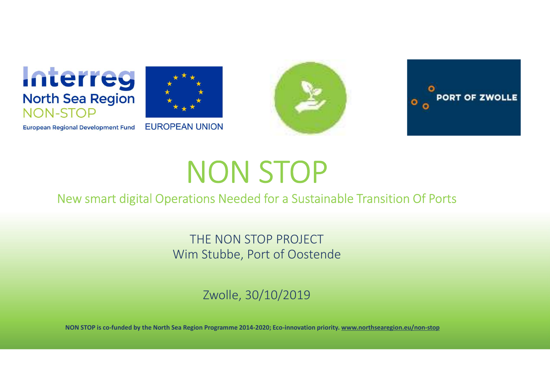





## NON STOP

THE NON STOP PROJECT Wim Stubbe, Port of Oostende

Zwolle, 30/10/2019

NON STOP is co-funded by the North Sea Region Programme 2014-2020; Eco-innovation priority. www.northsearegion.eu/non-stop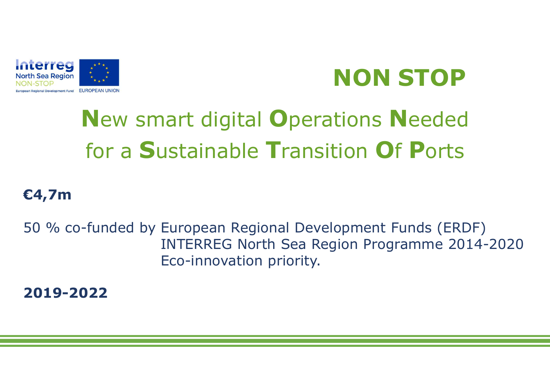

# **NON STOP**<br>Tions Needed

### New smart digital Operations Needed for a Sustainable Transition Of Ports

#### €4,7m

**Started Started by European Regional Development Funds (ERDF)**<br>50 % co-funded by European Regional Development Funds (ERDF)<br>50 % co-funded by European Regional Development Funds (ERDF)<br>Eco-innovation priority. **NON STOP**<br> **INTERREG North Sea Region Of Ports**<br>
European Regional Development Funds (ERDF)<br>
INTERREG North Sea Region Programme 2014-2020<br>
Eco-innovation priority. Eco-innovation priority.

2019-2022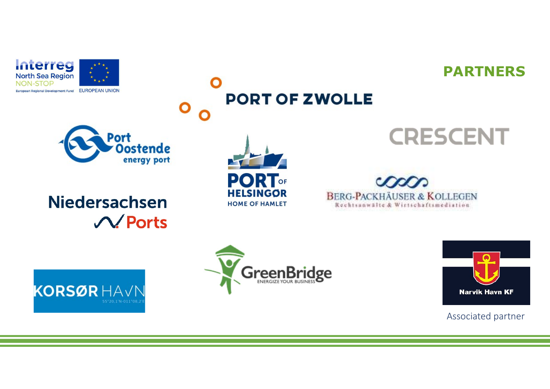



#### Port **Oostende** energy port

#### **Niedersachsen**  $\mathcal{N}$  Ports

**KORSØR HAVN** 



**PORT OF ZWOLLE** 









#### Associated partner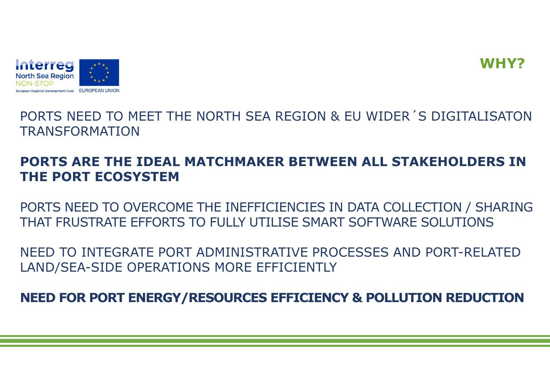



PORTS NEED TO MEET THE NORTH SEA REGION & EU WIDER´S DIGITALISATON TRANSFORMATION

#### PORTS ARE THE IDEAL MATCHMAKER BETWEEN ALL STAKEHOLDERS IN THE PORT ECOSYSTEM

PORTS NEED TO OVERCOME THE INEFFICIENCIES IN DATA COLLECTION / SHARING THAT FRUSTRATE EFFORTS TO FULLY UTILISE SMART SOFTWARE SOLUTIONS

NEED TO INTEGRATE PORT ADMINISTRATIVE PROCESSES AND PORT-RELATED LAND/SEA-SIDE OPERATIONS MORE EFFICIENTLY

NEED FOR PORT ENERGY/RESOURCES EFFICIENCY & POLLUTION REDUCTION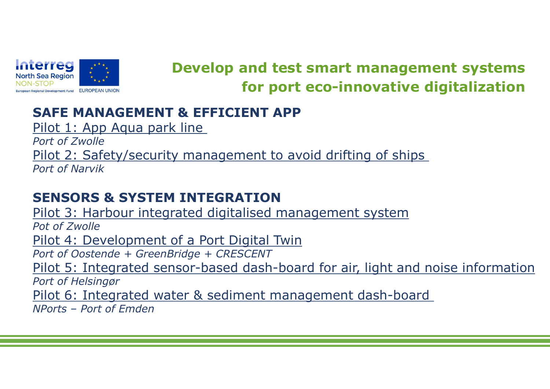

## **SER Region Star Region**<br>
STOP BODENIUM **Develop and test smart management**<br>
STOP<br>
Pilot 1: App Aqua park line<br>
Port of Zwolle<br>
Port of Zwolle ERTES<br>
STOP TO EXAMPLE THE MANAGEMENT & EFFICIENT APP<br>
Pilot 1: App Aqua park line<br>
Port of Zwolle<br>
Pilot 2: Safety/security management to avoid driftin<br>
Port of Nanyik Develop and test smart management systems for port eco-innovative digitalization

Port of Zwolle

Pilot 2: Safety/security management to avoid drifting of ships

Port of Narvik

#### SENSORS & SYSTEM INTEGRATION

**Price Solution State State State State State State State State State State State State State State State State State State Pilot 1: App Aqua park line<br>Pilot 1: App Aqua park line<br>Pilot 2: Safety/security management to avo** Pot of Zwolle **PERCENT APP**<br>
STOP<br>
STOP<br>
STOP<br>
Pilot 1: App Aqua park line<br>
Port of Zwolle<br>
Pilot 2: Safety/security management to avoid drifting of<br>
Port of Narvik<br>
SENSORS & SYSTEM INTEGRATION<br>
Pilot 3: Harbour integrated digitalised **STOP**<br> **SAFE MANAGEMENT & EFFICIENT APP**<br>
Pilot 1: App Aqua park line<br>
Port of Zwolle<br>
Pilot 2: Safety/security management to avoid drifting of ship<br>
Port of Narvik<br> **SENSORS & SYSTEM INTEGRATION**<br>
Pilot 3: Harbour integ **SAFE MANAGEMENT & EFFICIENT APP**<br>Pilot 1: App Aqua park line<br>Port of Zwolle<br>Pilot 2: Safety/security management to avoid drifting of ships<br>Port of Narvik<br>**SENSORS & SYSTEM INTEGRATION**<br>Pilot 3: Harbour integrated digitali Port of Helsingør Pilot 6: Integrated water & sediment management dash-board Port of Zwolle<br>
Pilot 2: Safety/security management to a<br>
Port of Narvik<br> **SENSORS & SYSTEM INTEGRATION**<br>
Pilot 3: Harbour integrated digitalised ma<br>
Pot of Zwolle<br>
Pilot 4: Development of a Port Digital Twi<br>
Port of Ooste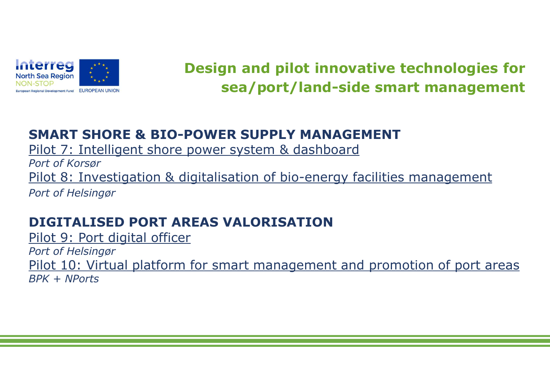

#### Design and pilot innovative technologies for sea/port/land-side smart management

#### SMART SHORE & BIO-POWER SUPPLY MANAGEMENT

Pilot 7: Intelligent shore power system & dashboard

Port of Korsør **Proposed Concernsign States Concernsign and pilot innovative technologies for**<br> **Pilot 8: Investigation & BIO-POWER SUPPLY MANAGEMENT**<br>
Pilot 7: Intelligent shore power system & dashboard<br>
Pilot 8: Investigation & digital **Example 19 Accord Control Control Control Control Control Control Control Control Control Control Control Control Control Control Control Control Control Control Control Control Control Control Control Control Control Con** 

#### DIGITALISED PORT AREAS VALORISATION

Pilot 9: Port digital officer Port of Helsingør Pilot 10: Virtual platform for smart management and promotion of port areas BPK + NPorts